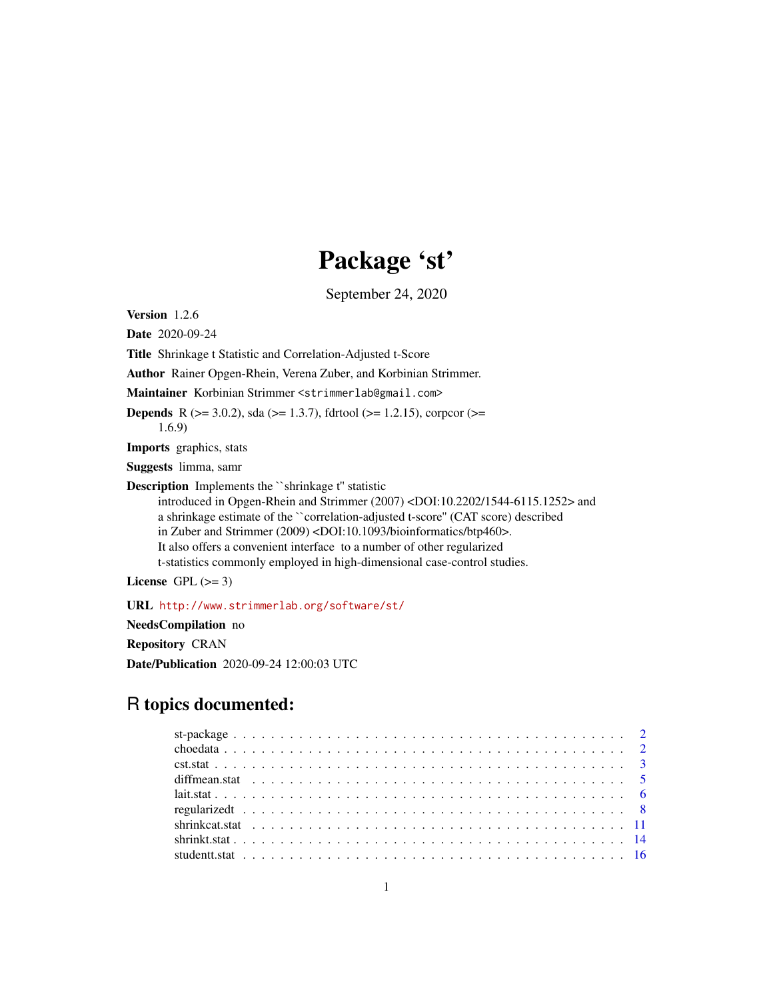# Package 'st'

September 24, 2020

<span id="page-0-0"></span>Version 1.2.6

Date 2020-09-24

Title Shrinkage t Statistic and Correlation-Adjusted t-Score

Author Rainer Opgen-Rhein, Verena Zuber, and Korbinian Strimmer.

Maintainer Korbinian Strimmer <strimmerlab@gmail.com>

**Depends** R ( $>= 3.0.2$ ), sda ( $>= 1.3.7$ ), fdrtool ( $>= 1.2.15$ ), corpcor ( $>= 1.2.15$ ) 1.6.9)

Imports graphics, stats

Suggests limma, samr

Description Implements the `shrinkage t" statistic

introduced in Opgen-Rhein and Strimmer (2007) <DOI:10.2202/1544-6115.1252> and a shrinkage estimate of the ``correlation-adjusted t-score'' (CAT score) described in Zuber and Strimmer (2009) <DOI:10.1093/bioinformatics/btp460>. It also offers a convenient interface to a number of other regularized t-statistics commonly employed in high-dimensional case-control studies.

License GPL  $(>= 3)$ 

URL <http://www.strimmerlab.org/software/st/>

NeedsCompilation no

Repository CRAN

Date/Publication 2020-09-24 12:00:03 UTC

# R topics documented: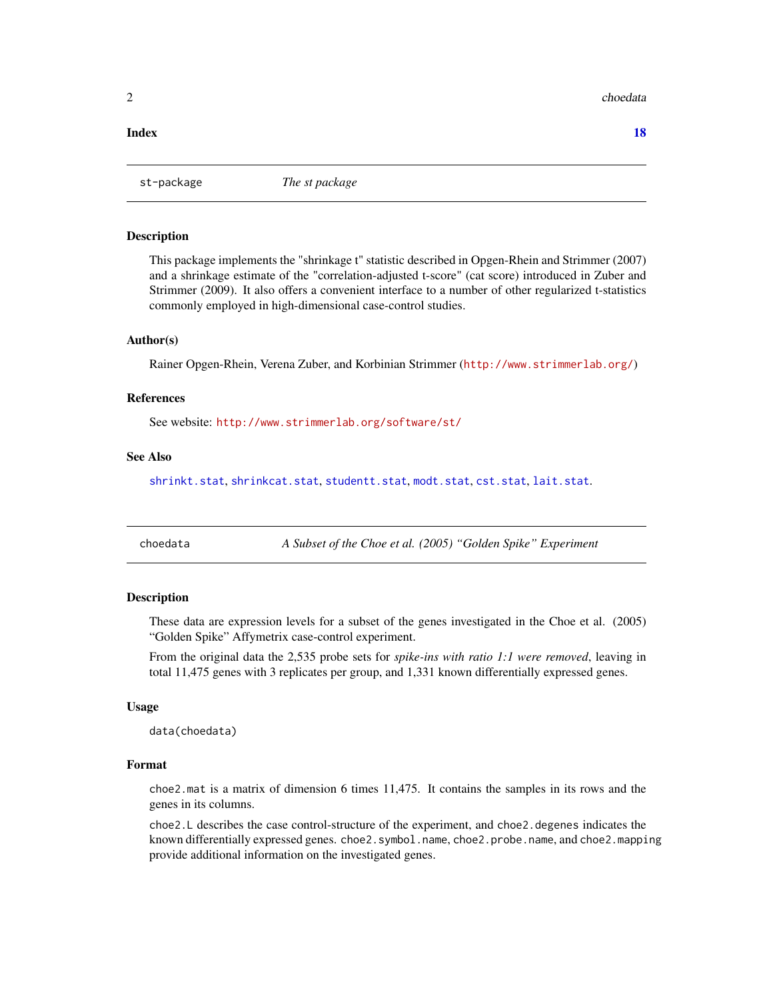#### <span id="page-1-0"></span>2 choedata

#### **Index** 2008 **[18](#page-17-0)**

st-package *The st package*

#### Description

This package implements the "shrinkage t" statistic described in Opgen-Rhein and Strimmer (2007) and a shrinkage estimate of the "correlation-adjusted t-score" (cat score) introduced in Zuber and Strimmer (2009). It also offers a convenient interface to a number of other regularized t-statistics commonly employed in high-dimensional case-control studies.

### Author(s)

Rainer Opgen-Rhein, Verena Zuber, and Korbinian Strimmer (<http://www.strimmerlab.org/>)

#### References

See website: <http://www.strimmerlab.org/software/st/>

# See Also

[shrinkt.stat](#page-13-1), [shrinkcat.stat](#page-10-1), [studentt.stat](#page-15-1), [modt.stat](#page-7-1), [cst.stat](#page-2-1), [lait.stat](#page-5-1).

choedata *A Subset of the Choe et al. (2005) "Golden Spike" Experiment*

# Description

These data are expression levels for a subset of the genes investigated in the Choe et al. (2005) "Golden Spike" Affymetrix case-control experiment.

From the original data the 2,535 probe sets for *spike-ins with ratio 1:1 were removed*, leaving in total 11,475 genes with 3 replicates per group, and 1,331 known differentially expressed genes.

#### Usage

data(choedata)

#### Format

choe2.mat is a matrix of dimension 6 times 11,475. It contains the samples in its rows and the genes in its columns.

choe2.L describes the case control-structure of the experiment, and choe2.degenes indicates the known differentially expressed genes. choe2.symbol.name, choe2.probe.name, and choe2.mapping provide additional information on the investigated genes.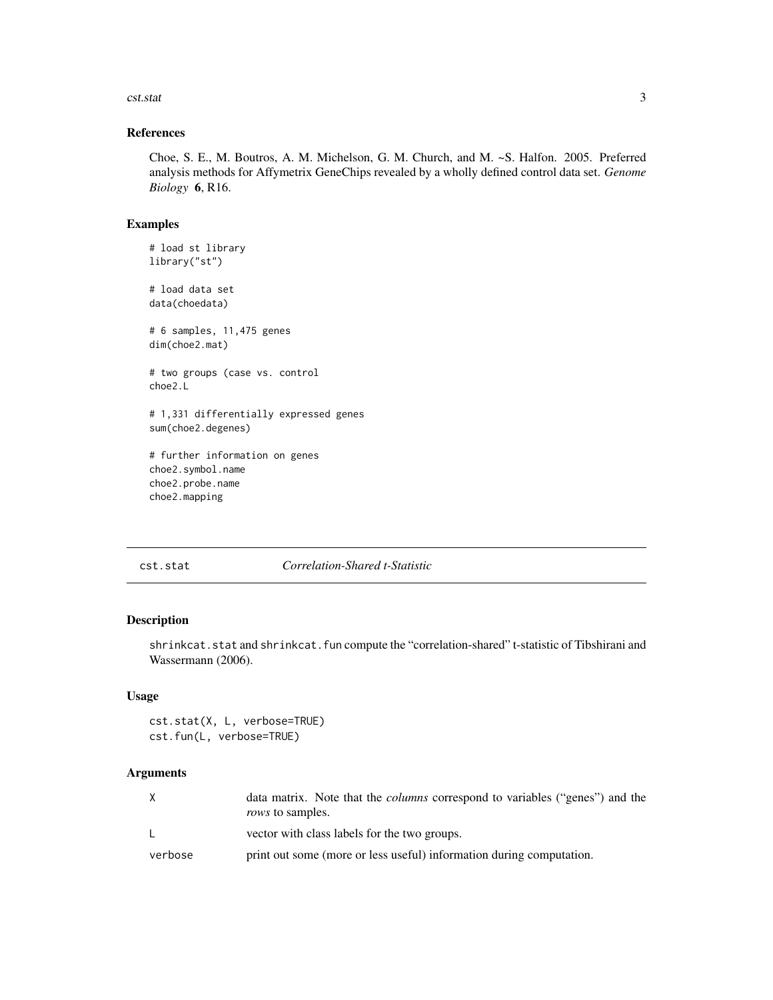#### <span id="page-2-0"></span>cst.stat 3

# References

Choe, S. E., M. Boutros, A. M. Michelson, G. M. Church, and M. ~S. Halfon. 2005. Preferred analysis methods for Affymetrix GeneChips revealed by a wholly defined control data set. *Genome Biology* 6, R16.

# Examples

```
# load st library
library("st")
# load data set
data(choedata)
# 6 samples, 11,475 genes
dim(choe2.mat)
# two groups (case vs. control
choe2.L
# 1,331 differentially expressed genes
sum(choe2.degenes)
# further information on genes
choe2.symbol.name
choe2.probe.name
```
choe2.mapping

<span id="page-2-1"></span>cst.stat *Correlation-Shared t-Statistic*

# Description

shrinkcat.stat and shrinkcat.fun compute the "correlation-shared" t-statistic of Tibshirani and Wassermann (2006).

#### Usage

```
cst.stat(X, L, verbose=TRUE)
cst.fun(L, verbose=TRUE)
```
#### Arguments

|         | data matrix. Note that the <i>columns</i> correspond to variables ("genes") and the<br><i>rows</i> to samples. |
|---------|----------------------------------------------------------------------------------------------------------------|
|         | vector with class labels for the two groups.                                                                   |
| verbose | print out some (more or less useful) information during computation.                                           |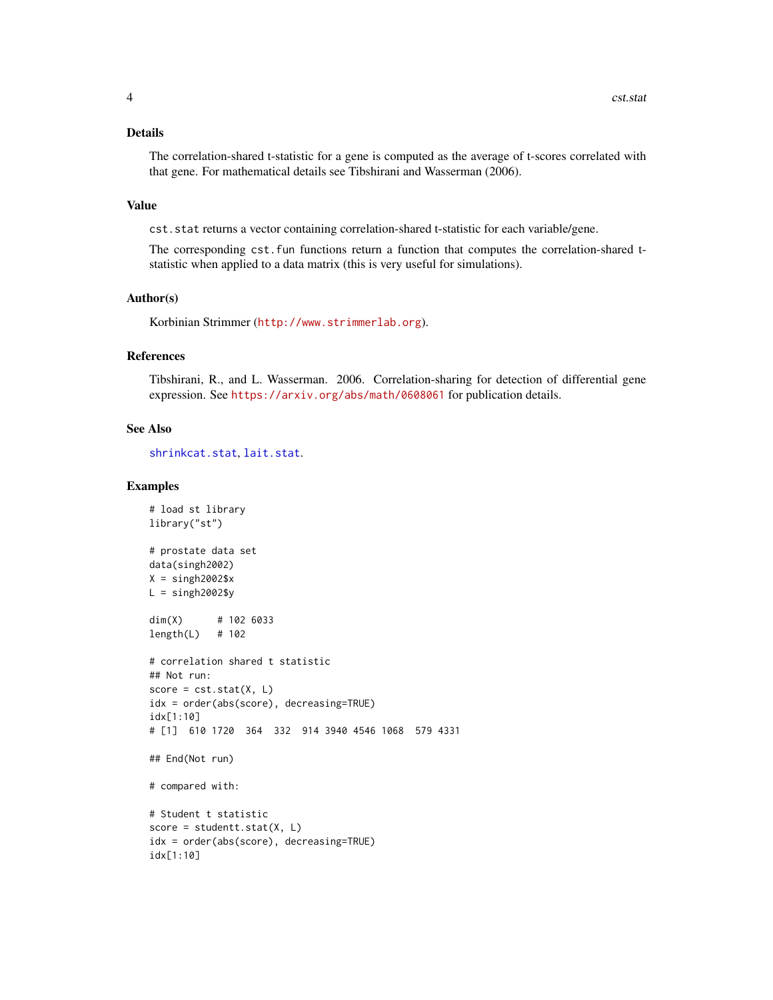# <span id="page-3-0"></span>Details

The correlation-shared t-statistic for a gene is computed as the average of t-scores correlated with that gene. For mathematical details see Tibshirani and Wasserman (2006).

#### Value

cst.stat returns a vector containing correlation-shared t-statistic for each variable/gene.

The corresponding cst.fun functions return a function that computes the correlation-shared tstatistic when applied to a data matrix (this is very useful for simulations).

#### Author(s)

Korbinian Strimmer (<http://www.strimmerlab.org>).

#### References

Tibshirani, R., and L. Wasserman. 2006. Correlation-sharing for detection of differential gene expression. See <https://arxiv.org/abs/math/0608061> for publication details.

#### See Also

[shrinkcat.stat](#page-10-1), [lait.stat](#page-5-1).

```
# load st library
library("st")
# prostate data set
data(singh2002)
X =singh2002$x
L =singh2002$y
dim(X) # 102 6033
length(L) # 102
# correlation shared t statistic
## Not run:
score = cst.start(X, L)idx = order(abs(score), decreasing=TRUE)
idx[1:10]
# [1] 610 1720 364 332 914 3940 4546 1068 579 4331
## End(Not run)
# compared with:
# Student t statistic
score = studentt.stat(X, L)
idx = order(abs(score), decreasing=TRUE)
idx[1:10]
```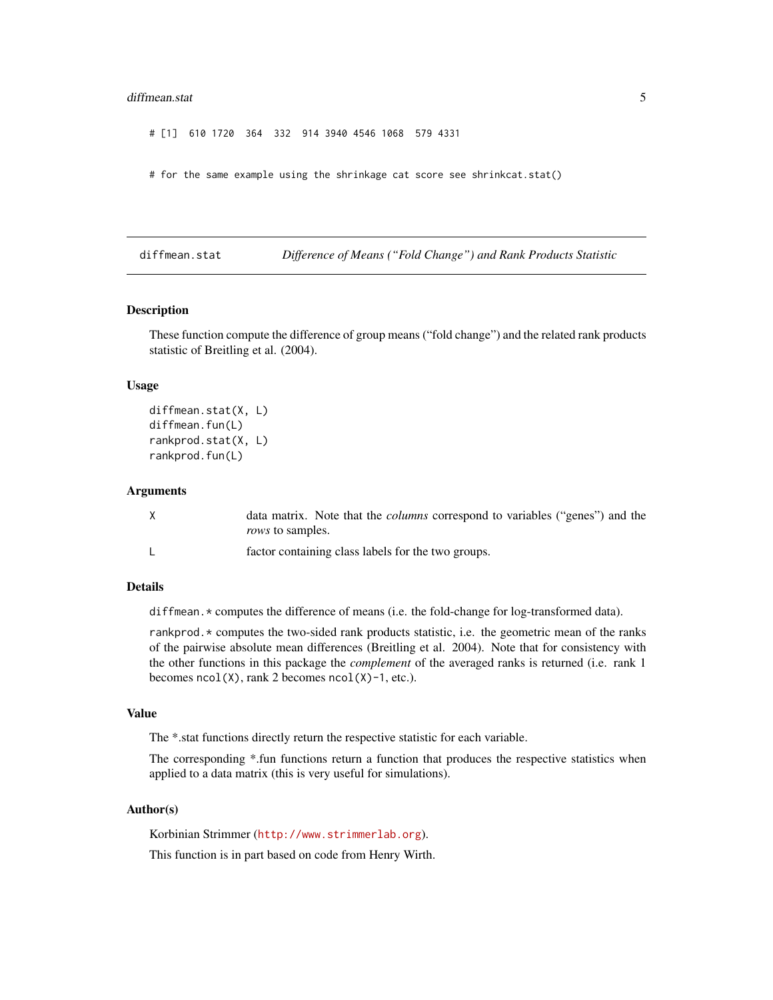#### <span id="page-4-0"></span>diffmean.stat 5

# [1] 610 1720 364 332 914 3940 4546 1068 579 4331

# for the same example using the shrinkage cat score see shrinkcat.stat()

<span id="page-4-1"></span>diffmean.stat *Difference of Means ("Fold Change") and Rank Products Statistic*

#### Description

These function compute the difference of group means ("fold change") and the related rank products statistic of Breitling et al. (2004).

#### Usage

```
diffmean.stat(X, L)
diffmean.fun(L)
rankprod.stat(X, L)
rankprod.fun(L)
```
#### Arguments

| data matrix. Note that the <i>columns</i> correspond to variables ("genes") and the |
|-------------------------------------------------------------------------------------|
| <i>rows</i> to samples.                                                             |
| factor containing class labels for the two groups.                                  |

### Details

diffmean.\* computes the difference of means (i.e. the fold-change for log-transformed data).

rankprod.\* computes the two-sided rank products statistic, i.e. the geometric mean of the ranks of the pairwise absolute mean differences (Breitling et al. 2004). Note that for consistency with the other functions in this package the *complement* of the averaged ranks is returned (i.e. rank 1 becomes  $ncol(X)$ , rank 2 becomes  $ncol(X)-1$ , etc.).

#### Value

The \*.stat functions directly return the respective statistic for each variable.

The corresponding \*.fun functions return a function that produces the respective statistics when applied to a data matrix (this is very useful for simulations).

#### Author(s)

Korbinian Strimmer (<http://www.strimmerlab.org>).

This function is in part based on code from Henry Wirth.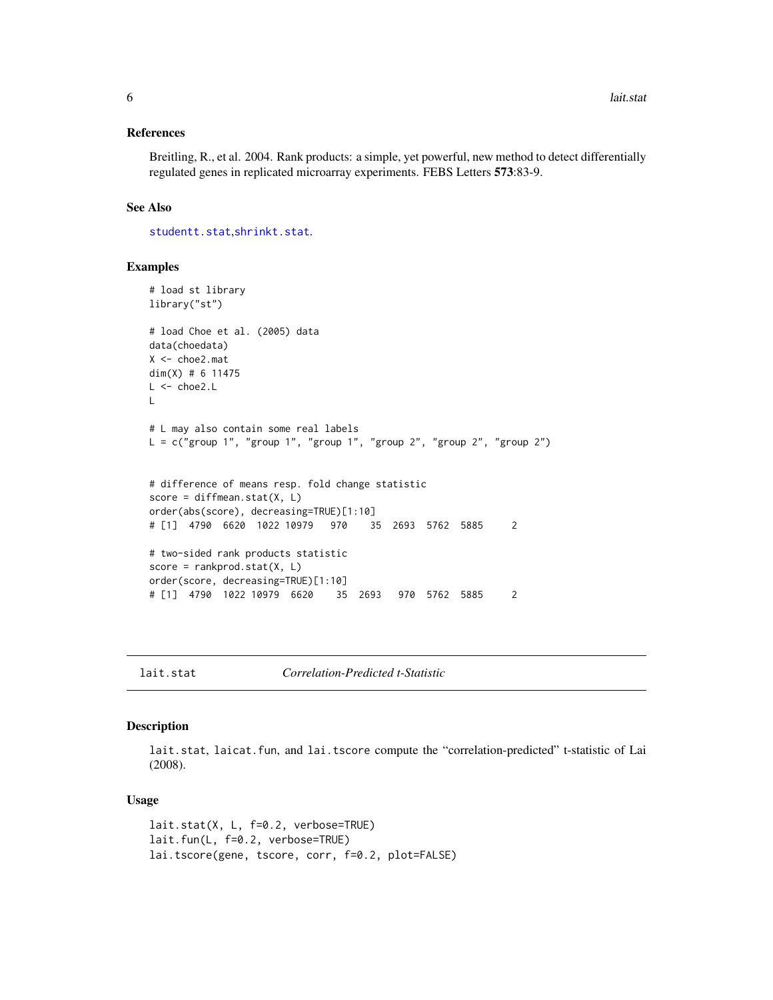#### <span id="page-5-0"></span>References

Breitling, R., et al. 2004. Rank products: a simple, yet powerful, new method to detect differentially regulated genes in replicated microarray experiments. FEBS Letters 573:83-9.

# See Also

[studentt.stat](#page-15-1),[shrinkt.stat](#page-13-1).

#### Examples

```
# load st library
library("st")
# load Choe et al. (2005) data
data(choedata)
X <- choe2.mat
dim(X) # 6 11475
L < - choe2.L\mathbf{L}# L may also contain some real labels
L = c("group 1", "group 1", "group 1", "group 1", "group 2", "group 2", "group 2")# difference of means resp. fold change statistic
score = diffmean.start(X, L)order(abs(score), decreasing=TRUE)[1:10]
# [1] 4790 6620 1022 10979 970 35 2693 5762 5885 2
# two-sided rank products statistic
score = rankprod.start(X, L)order(score, decreasing=TRUE)[1:10]
# [1] 4790 1022 10979 6620 35 2693 970 5762 5885 2
```
<span id="page-5-1"></span>lait.stat *Correlation-Predicted t-Statistic*

#### Description

lait.stat, laicat.fun, and lai.tscore compute the "correlation-predicted" t-statistic of Lai (2008).

#### Usage

```
lait.stat(X, L, f=0.2, verbose=TRUE)
lait.fun(L, f=0.2, verbose=TRUE)
lai.tscore(gene, tscore, corr, f=0.2, plot=FALSE)
```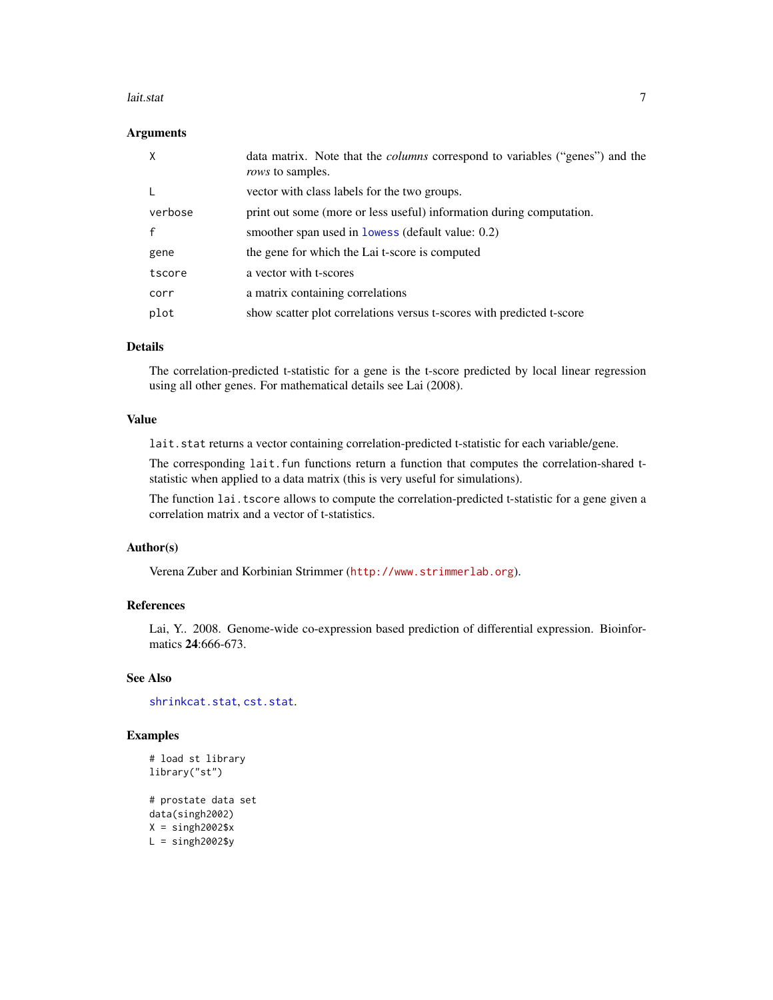#### <span id="page-6-0"></span>lait.stat 7 metatra. Perustiwa 1999 metatra. Perustiwa 1999 metatra. Perustiwa 1999 metatra. Perustiwa 1999 me

#### **Arguments**

| X       | data matrix. Note that the <i>columns</i> correspond to variables ("genes") and the<br><i>rows</i> to samples. |
|---------|----------------------------------------------------------------------------------------------------------------|
|         | vector with class labels for the two groups.                                                                   |
| verbose | print out some (more or less useful) information during computation.                                           |
|         | smoother span used in lowess (default value: 0.2)                                                              |
| gene    | the gene for which the Lai t-score is computed                                                                 |
| tscore  | a vector with t-scores                                                                                         |
| corr    | a matrix containing correlations                                                                               |
| plot    | show scatter plot correlations versus t-scores with predicted t-score                                          |

# Details

The correlation-predicted t-statistic for a gene is the t-score predicted by local linear regression using all other genes. For mathematical details see Lai (2008).

#### Value

lait.stat returns a vector containing correlation-predicted t-statistic for each variable/gene.

The corresponding lait. fun functions return a function that computes the correlation-shared tstatistic when applied to a data matrix (this is very useful for simulations).

The function lai.tscore allows to compute the correlation-predicted t-statistic for a gene given a correlation matrix and a vector of t-statistics.

# Author(s)

Verena Zuber and Korbinian Strimmer (<http://www.strimmerlab.org>).

### References

Lai, Y.. 2008. Genome-wide co-expression based prediction of differential expression. Bioinformatics **24**:666-673.

# See Also

[shrinkcat.stat](#page-10-1), [cst.stat](#page-2-1).

```
# load st library
library("st")
# prostate data set
data(singh2002)
X =singh2002$x
L =singh2002$y
```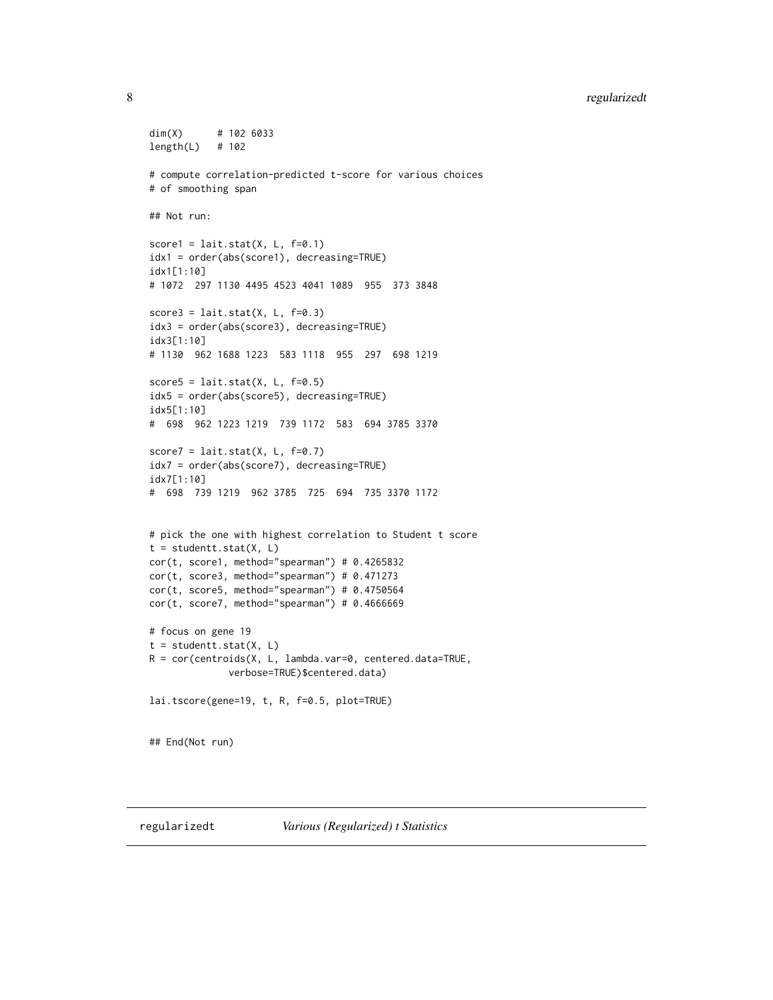# <span id="page-7-0"></span>8 regularizedt

```
dim(X) # 102 6033
length(L) # 102
# compute correlation-predicted t-score for various choices
# of smoothing span
## Not run:
score1 = lait.start(X, L, f=0.1)idx1 = order(abs(score1), decreasing=TRUE)
idx1[1:10]
# 1072 297 1130 4495 4523 4041 1089 955 373 3848
score3 = lait.start(X, L, f=0.3)idx3 = order(abs(score3), decreasing=TRUE)
idx3[1:10]
# 1130 962 1688 1223 583 1118 955 297 698 1219
score5 = lait.start(X, L, f=0.5)idx5 = order(abs(score5), decreasing=TRUE)
idx5[1:10]
# 698 962 1223 1219 739 1172 583 694 3785 3370
score7 = lait.start(X, L, f=0.7)idx7 = order(abs(score7), decreasing=TRUE)
idx7[1:10]
# 698 739 1219 962 3785 725 694 735 3370 1172
# pick the one with highest correlation to Student t score
t = student.start(X, L)cor(t, score1, method="spearman") # 0.4265832
cor(t, score3, method="spearman") # 0.471273
cor(t, score5, method="spearman") # 0.4750564
cor(t, score7, method="spearman") # 0.4666669
# focus on gene 19
t = student.start(X, L)R = cor(centroids(X, L, lambda.var=0, centered.data=TRUE,
             verbose=TRUE)$centered.data)
lai.tscore(gene=19, t, R, f=0.5, plot=TRUE)
## End(Not run)
```
<span id="page-7-1"></span>

regularizedt *Various (Regularized) t Statistics*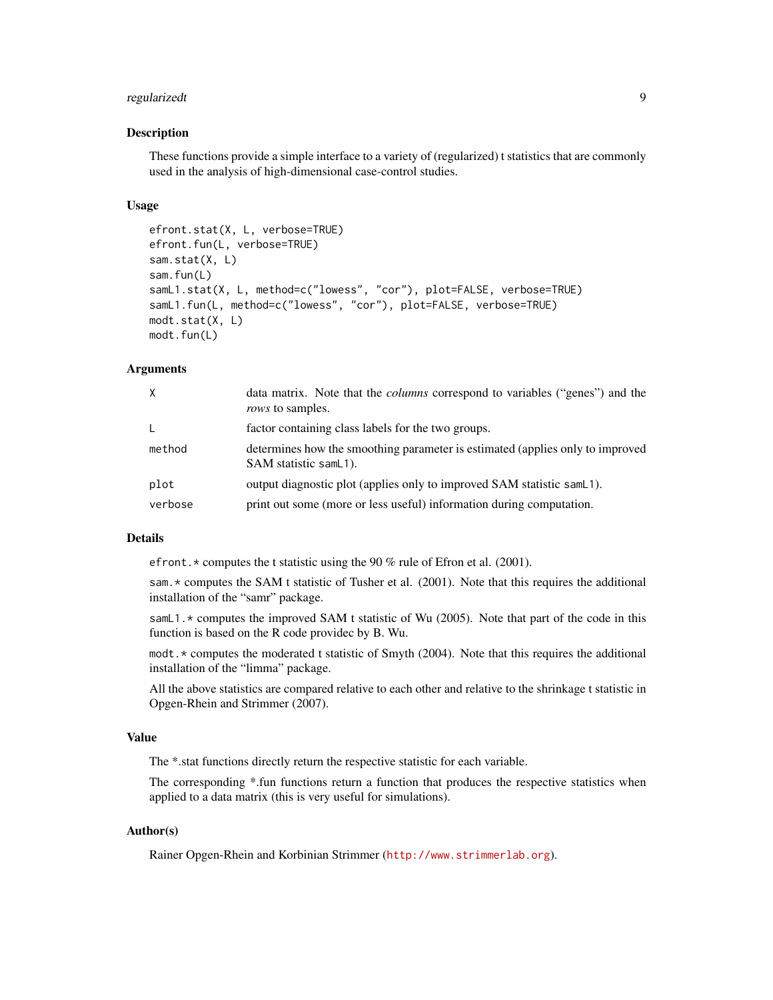# regularizedt 9

#### Description

These functions provide a simple interface to a variety of (regularized) t statistics that are commonly used in the analysis of high-dimensional case-control studies.

#### Usage

```
efront.stat(X, L, verbose=TRUE)
efront.fun(L, verbose=TRUE)
sam.stat(X, L)
sam.fun(L)
samL1.stat(X, L, method=c("lowess", "cor"), plot=FALSE, verbose=TRUE)
samL1.fun(L, method=c("lowess", "cor"), plot=FALSE, verbose=TRUE)
modt.stat(X, L)
modt.fun(L)
```
# Arguments

| X       | data matrix. Note that the <i>columns</i> correspond to variables ("genes") and the<br><i>rows</i> to samples. |
|---------|----------------------------------------------------------------------------------------------------------------|
| L.      | factor containing class labels for the two groups.                                                             |
| method  | determines how the smoothing parameter is estimated (applies only to improved<br>SAM statistic samL1).         |
| plot    | output diagnostic plot (applies only to improved SAM statistic samL1).                                         |
| verbose | print out some (more or less useful) information during computation.                                           |

#### Details

efront. \* computes the t statistic using the 90 % rule of Efron et al. (2001).

sam. \* computes the SAM t statistic of Tusher et al. (2001). Note that this requires the additional installation of the "samr" package.

samL1.\* computes the improved SAM t statistic of Wu (2005). Note that part of the code in this function is based on the R code providec by B. Wu.

modt.\* computes the moderated t statistic of Smyth (2004). Note that this requires the additional installation of the "limma" package.

All the above statistics are compared relative to each other and relative to the shrinkage t statistic in Opgen-Rhein and Strimmer (2007).

#### Value

The \*.stat functions directly return the respective statistic for each variable.

The corresponding \*.fun functions return a function that produces the respective statistics when applied to a data matrix (this is very useful for simulations).

# Author(s)

Rainer Opgen-Rhein and Korbinian Strimmer (<http://www.strimmerlab.org>).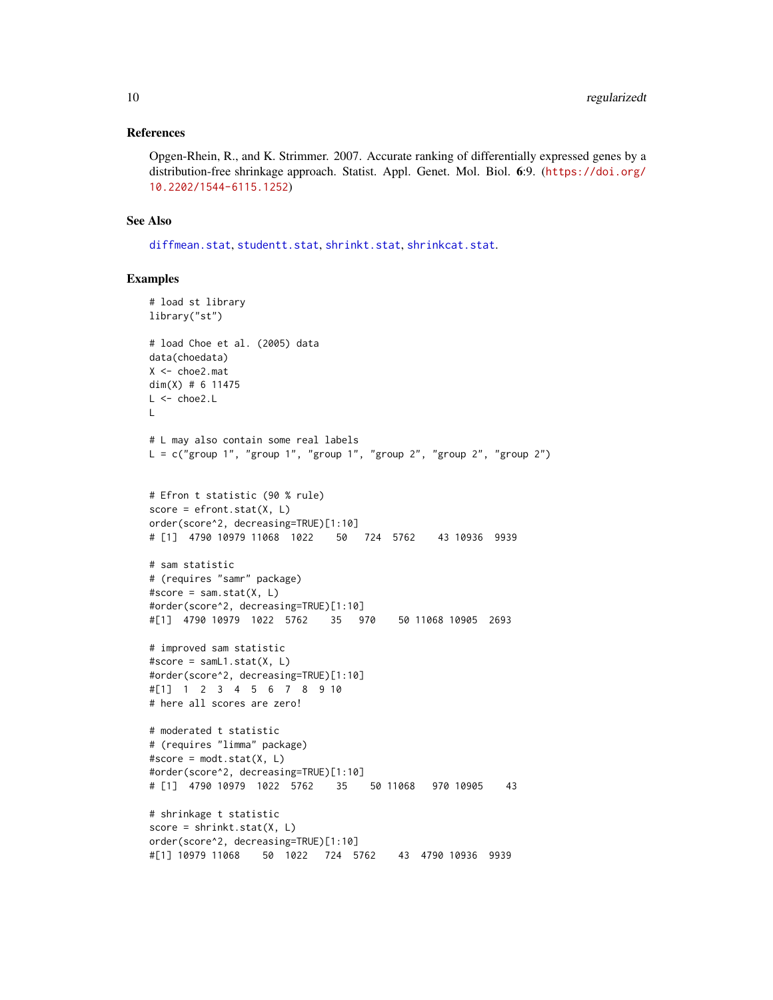#### <span id="page-9-0"></span>References

Opgen-Rhein, R., and K. Strimmer. 2007. Accurate ranking of differentially expressed genes by a distribution-free shrinkage approach. Statist. Appl. Genet. Mol. Biol. 6:9. ([https://doi.org/](https://doi.org/10.2202/1544-6115.1252) [10.2202/1544-6115.1252](https://doi.org/10.2202/1544-6115.1252))

# See Also

[diffmean.stat](#page-4-1), [studentt.stat](#page-15-1), [shrinkt.stat](#page-13-1), [shrinkcat.stat](#page-10-1).

```
# load st library
library("st")
# load Choe et al. (2005) data
data(choedata)
X <- choe2.mat
dim(X) # 6 11475
L <- choe2.L
L
# L may also contain some real labels
L = c("group 1", "group 1", "group 1", "group 2", "group 2", "group 2")# Efron t statistic (90 % rule)
score = efront.start(X, L)order(score^2, decreasing=TRUE)[1:10]
# [1] 4790 10979 11068 1022 50 724 5762 43 10936 9939
# sam statistic
# (requires "samr" package)
#score = sam.start(X, L)#order(score^2, decreasing=TRUE)[1:10]
#[1] 4790 10979 1022 5762 35 970 50 11068 10905 2693
# improved sam statistic
#score = samL1.stat(X, L)
#order(score^2, decreasing=TRUE)[1:10]
#[1] 1 2 3 4 5 6 7 8 9 10
# here all scores are zero!
# moderated t statistic
# (requires "limma" package)
#score = modt.start(X, L)#order(score^2, decreasing=TRUE)[1:10]
# [1] 4790 10979 1022 5762 35 50 11068 970 10905 43
# shrinkage t statistic
score = shrinkt.stat(X, L)
order(score^2, decreasing=TRUE)[1:10]
#[1] 10979 11068 50 1022 724 5762 43 4790 10936 9939
```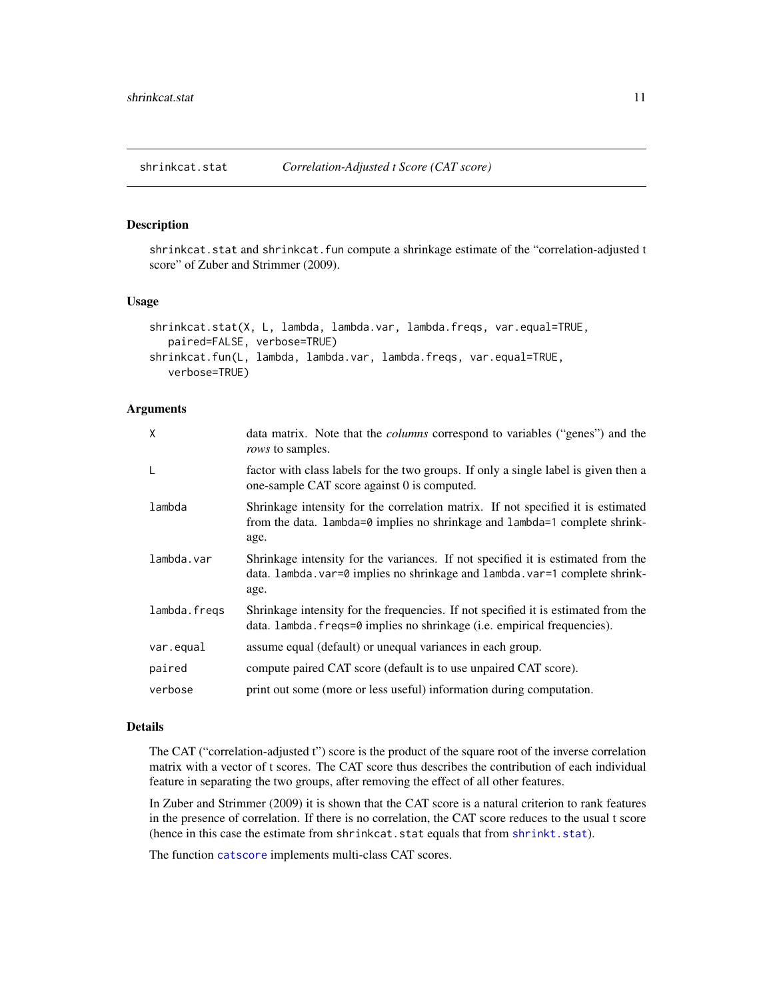<span id="page-10-1"></span><span id="page-10-0"></span>

# Description

shrinkcat.stat and shrinkcat.fun compute a shrinkage estimate of the "correlation-adjusted t score" of Zuber and Strimmer (2009).

#### Usage

```
shrinkcat.stat(X, L, lambda, lambda.var, lambda.freqs, var.equal=TRUE,
   paired=FALSE, verbose=TRUE)
shrinkcat.fun(L, lambda, lambda.var, lambda.freqs, var.equal=TRUE,
   verbose=TRUE)
```
#### Arguments

| X            | data matrix. Note that the <i>columns</i> correspond to variables ("genes") and the<br>rows to samples.                                                                 |
|--------------|-------------------------------------------------------------------------------------------------------------------------------------------------------------------------|
| $\mathsf{L}$ | factor with class labels for the two groups. If only a single label is given then a<br>one-sample CAT score against 0 is computed.                                      |
| lambda       | Shrinkage intensity for the correlation matrix. If not specified it is estimated<br>from the data. lambda=0 implies no shrinkage and lambda=1 complete shrink-<br>age.  |
| lambda.var   | Shrinkage intensity for the variances. If not specified it is estimated from the<br>data. Lambda. var=0 implies no shrinkage and Lambda. var=1 complete shrink-<br>age. |
| lambda.freqs | Shrinkage intensity for the frequencies. If not specified it is estimated from the<br>data. lambda. freqs=0 implies no shrinkage (i.e. empirical frequencies).          |
| var.equal    | assume equal (default) or unequal variances in each group.                                                                                                              |
| paired       | compute paired CAT score (default is to use unpaired CAT score).                                                                                                        |
| verbose      | print out some (more or less useful) information during computation.                                                                                                    |

#### Details

The CAT ("correlation-adjusted t") score is the product of the square root of the inverse correlation matrix with a vector of t scores. The CAT score thus describes the contribution of each individual feature in separating the two groups, after removing the effect of all other features.

In Zuber and Strimmer (2009) it is shown that the CAT score is a natural criterion to rank features in the presence of correlation. If there is no correlation, the CAT score reduces to the usual t score (hence in this case the estimate from shrinkcat.stat equals that from [shrinkt.stat](#page-13-1)).

The function [catscore](#page-0-0) implements multi-class CAT scores.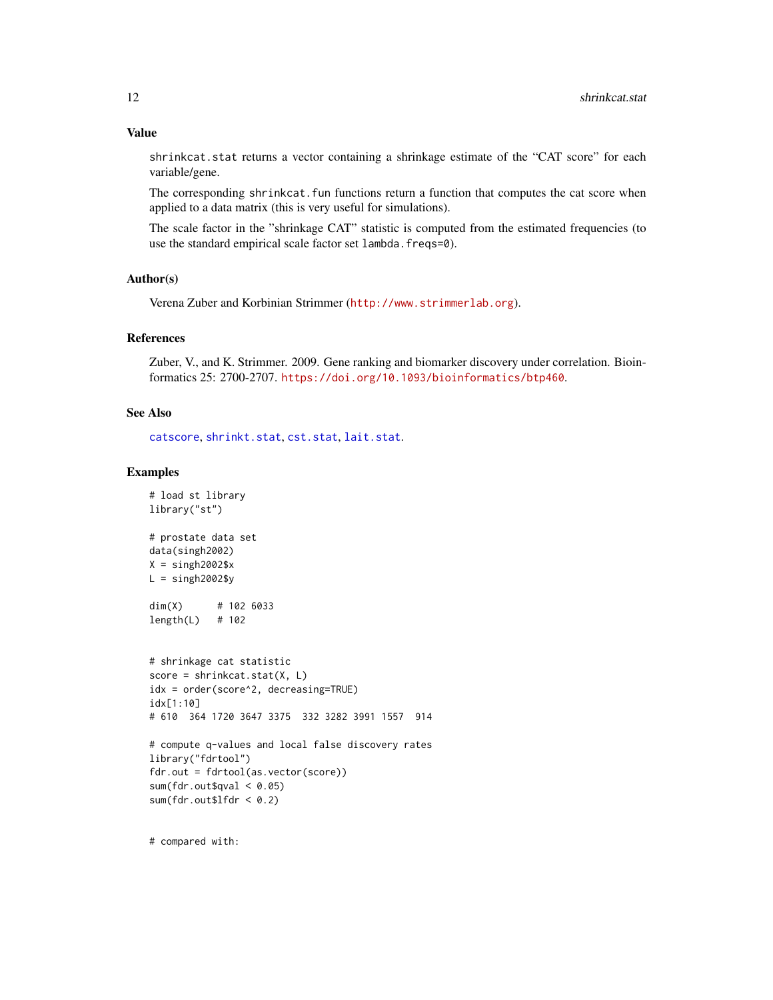# <span id="page-11-0"></span>Value

shrinkcat.stat returns a vector containing a shrinkage estimate of the "CAT score" for each variable/gene.

The corresponding shrinkcat.fun functions return a function that computes the cat score when applied to a data matrix (this is very useful for simulations).

The scale factor in the "shrinkage CAT" statistic is computed from the estimated frequencies (to use the standard empirical scale factor set lambda.freqs=0).

# Author(s)

Verena Zuber and Korbinian Strimmer (<http://www.strimmerlab.org>).

#### References

Zuber, V., and K. Strimmer. 2009. Gene ranking and biomarker discovery under correlation. Bioinformatics 25: 2700-2707. <https://doi.org/10.1093/bioinformatics/btp460>.

# See Also

[catscore](#page-0-0), [shrinkt.stat](#page-13-1), [cst.stat](#page-2-1), [lait.stat](#page-5-1).

#### Examples

# load st library

```
library("st")
# prostate data set
data(singh2002)
X =singh2002$x
L =singh2002$y
dim(X) # 102 6033
length(L) # 102
# shrinkage cat statistic
score = shrinkcat.start(X, L)idx = order(score^2, decreasing=TRUE)
idx[1:10]
# 610 364 1720 3647 3375 332 3282 3991 1557 914
# compute q-values and local false discovery rates
library("fdrtool")
fdr.out = fdrtool(as.vector(score))
sum(fdr.out \text{Squal} < 0.05)sum(fdr.out$lfdr < 0.2)
```
# compared with: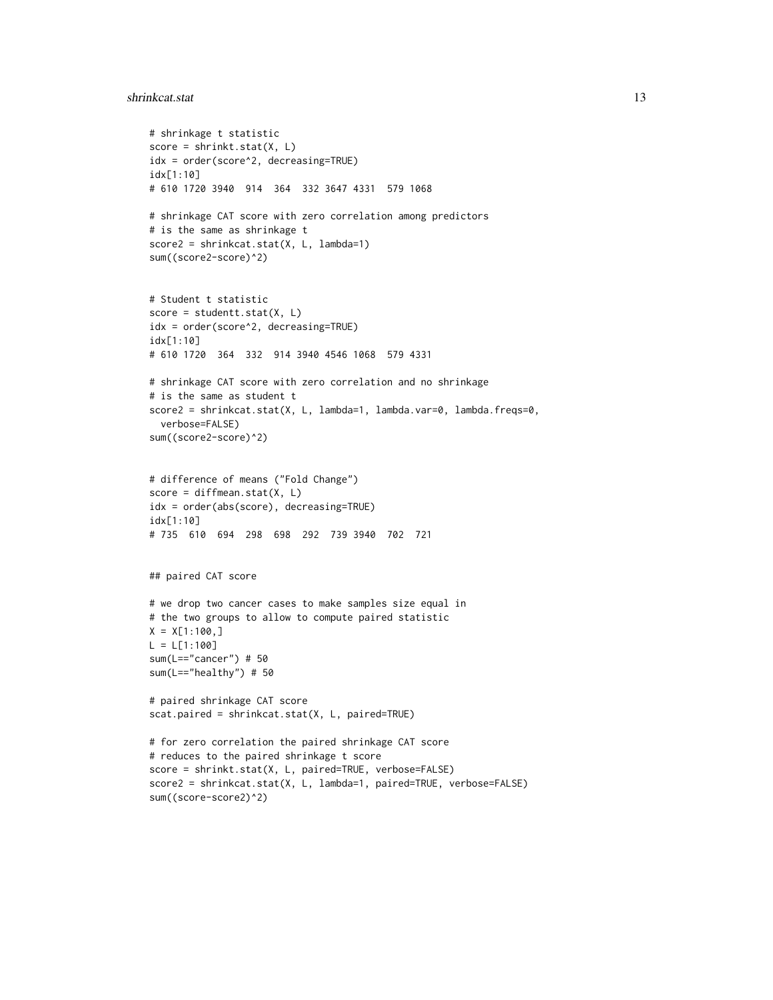#### shrinkcat.stat 13

```
# shrinkage t statistic
score = shrinkt.start(X, L)idx = order(score^2, decreasing=TRUE)
idx[1:10]
# 610 1720 3940 914 364 332 3647 4331 579 1068
# shrinkage CAT score with zero correlation among predictors
# is the same as shrinkage t
score2 = shrinkcat.stat(X, L, lambda=1)
sum((score2-score)^2)
# Student t statistic
score = student.start(X, L)idx = order(score^2, decreasing=TRUE)
idx[1:10]
# 610 1720 364 332 914 3940 4546 1068 579 4331
# shrinkage CAT score with zero correlation and no shrinkage
# is the same as student t
score2 = shrinkcat.stat(X, L, lambda=1, lambda.var=0, lambda.freqs=0,
  verbose=FALSE)
sum((score2-score)^2)
# difference of means ("Fold Change")
score = diffmean.start(X, L)idx = order(abs(score), decreasing=TRUE)
idx[1:10]
# 735 610 694 298 698 292 739 3940 702 721
## paired CAT score
# we drop two cancer cases to make samples size equal in
# the two groups to allow to compute paired statistic
X = X[1:100, ]L = L[1:100]sum(L=="cancer") # 50
sum(L=="healthy") # 50
# paired shrinkage CAT score
scat.paired = shrinkcat.stat(X, L, paired=TRUE)
# for zero correlation the paired shrinkage CAT score
# reduces to the paired shrinkage t score
score = shrinkt.stat(X, L, paired=TRUE, verbose=FALSE)
score2 = shrinkcat.stat(X, L, lambda=1, paired=TRUE, verbose=FALSE)
sum((score-score2)^2)
```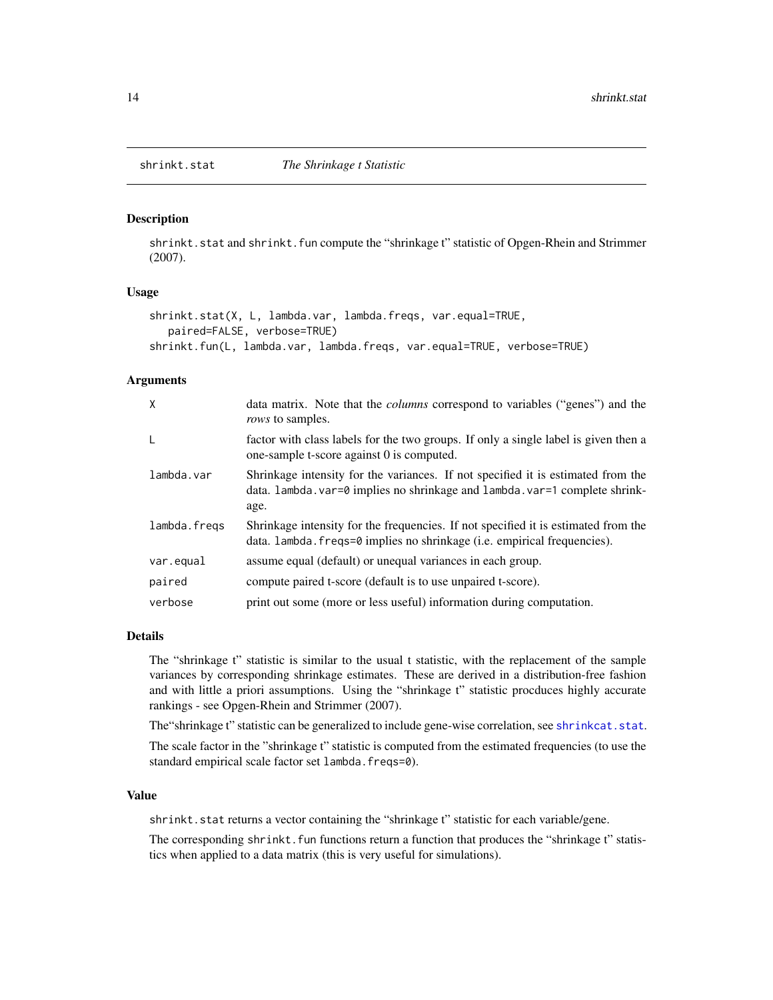<span id="page-13-1"></span><span id="page-13-0"></span>

#### Description

shrinkt.stat and shrinkt.fun compute the "shrinkage t" statistic of Opgen-Rhein and Strimmer (2007).

### Usage

```
shrinkt.stat(X, L, lambda.var, lambda.freqs, var.equal=TRUE,
   paired=FALSE, verbose=TRUE)
shrinkt.fun(L, lambda.var, lambda.freqs, var.equal=TRUE, verbose=TRUE)
```
#### Arguments

| X            | data matrix. Note that the <i>columns</i> correspond to variables ("genes") and the<br><i>rows</i> to samples.                                                          |
|--------------|-------------------------------------------------------------------------------------------------------------------------------------------------------------------------|
| $\mathsf{L}$ | factor with class labels for the two groups. If only a single label is given then a<br>one-sample t-score against 0 is computed.                                        |
| lambda.var   | Shrinkage intensity for the variances. If not specified it is estimated from the<br>data. lambda. var=0 implies no shrinkage and lambda. var=1 complete shrink-<br>age. |
| lambda.fregs | Shrinkage intensity for the frequencies. If not specified it is estimated from the<br>data. Lambda. freqs=0 implies no shrinkage (i.e. empirical frequencies).          |
| var.equal    | assume equal (default) or unequal variances in each group.                                                                                                              |
| paired       | compute paired t-score (default is to use unpaired t-score).                                                                                                            |
| verbose      | print out some (more or less useful) information during computation.                                                                                                    |

#### Details

The "shrinkage t" statistic is similar to the usual t statistic, with the replacement of the sample variances by corresponding shrinkage estimates. These are derived in a distribution-free fashion and with little a priori assumptions. Using the "shrinkage t" statistic procduces highly accurate rankings - see Opgen-Rhein and Strimmer (2007).

The "shrinkage t" statistic can be generalized to include gene-wise correlation, see [shrinkcat.stat](#page-10-1).

The scale factor in the "shrinkage t" statistic is computed from the estimated frequencies (to use the standard empirical scale factor set lambda.freqs=0).

#### Value

shrinkt.stat returns a vector containing the "shrinkage t" statistic for each variable/gene.

The corresponding shrinkt. fun functions return a function that produces the "shrinkage t" statistics when applied to a data matrix (this is very useful for simulations).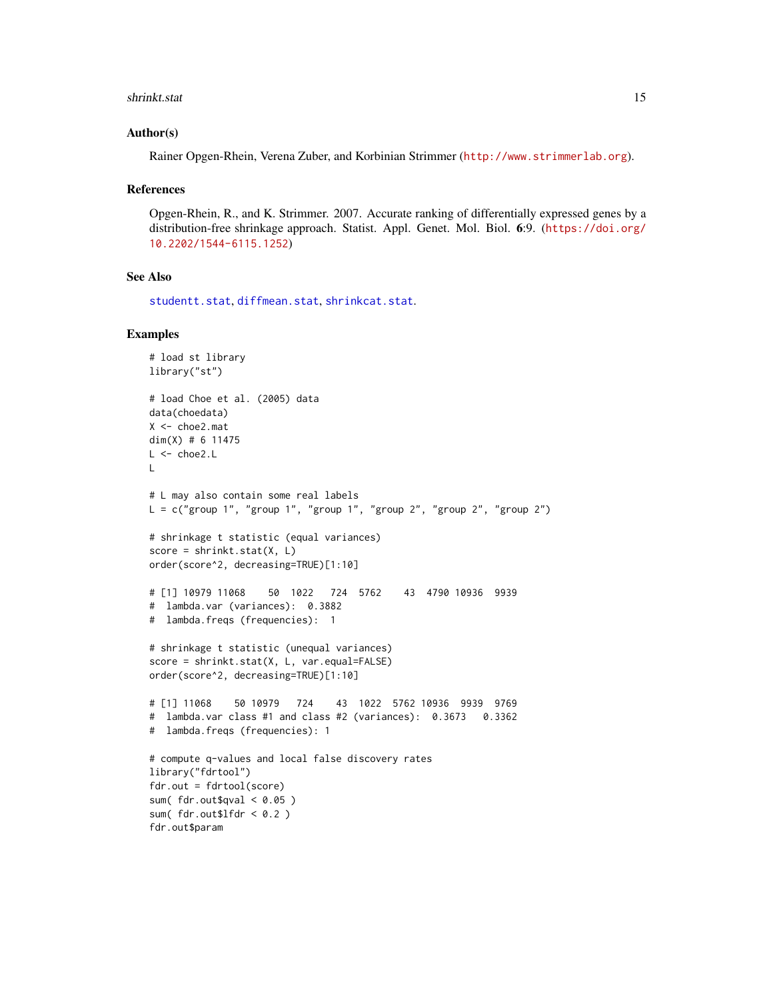#### <span id="page-14-0"></span>shrinkt.stat 15

#### Author(s)

Rainer Opgen-Rhein, Verena Zuber, and Korbinian Strimmer (<http://www.strimmerlab.org>).

#### References

Opgen-Rhein, R., and K. Strimmer. 2007. Accurate ranking of differentially expressed genes by a distribution-free shrinkage approach. Statist. Appl. Genet. Mol. Biol. 6:9. ([https://doi.org/](https://doi.org/10.2202/1544-6115.1252) [10.2202/1544-6115.1252](https://doi.org/10.2202/1544-6115.1252))

# See Also

[studentt.stat](#page-15-1), [diffmean.stat](#page-4-1), [shrinkcat.stat](#page-10-1).

```
# load st library
library("st")
# load Choe et al. (2005) data
data(choedata)
X < - choe2.mat
dim(X) # 6 11475L < - choe2.L\mathbf{L}# L may also contain some real labels
L = c("group 1", "group 1", "group 1", "group 1", "group 2", "group 2", "group 2")# shrinkage t statistic (equal variances)
score = shrinkt.stat(X, L)
order(score^2, decreasing=TRUE)[1:10]
# [1] 10979 11068 50 1022 724 5762 43 4790 10936 9939
# lambda.var (variances): 0.3882
# lambda.freqs (frequencies): 1
# shrinkage t statistic (unequal variances)
score = shrinkt.stat(X, L, var.equal=FALSE)
order(score^2, decreasing=TRUE)[1:10]
# [1] 11068 50 10979 724 43 1022 5762 10936 9939 9769
# lambda.var class #1 and class #2 (variances): 0.3673 0.3362
# lambda.freqs (frequencies): 1
# compute q-values and local false discovery rates
library("fdrtool")
fdr.out = fdrtool(score)
sum(fdr.out$qval < 0.05)
sum(fdr.out$lfdr < 0.2)
fdr.out$param
```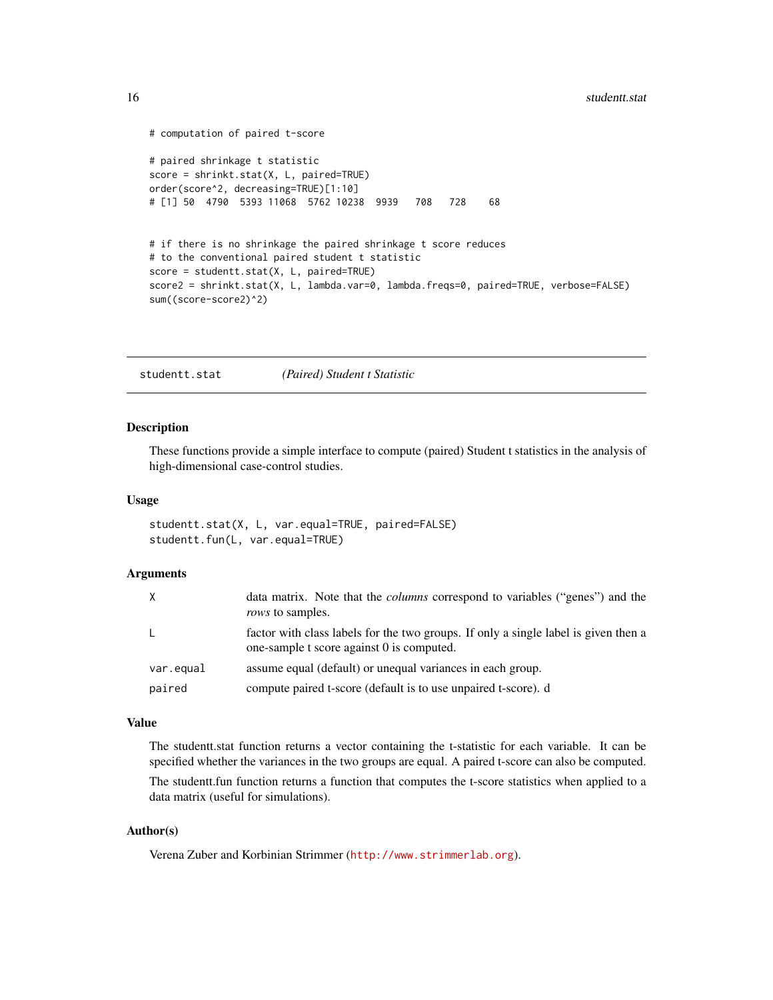```
# computation of paired t-score
# paired shrinkage t statistic
score = shrinkt.stat(X, L, paired=TRUE)
order(score^2, decreasing=TRUE)[1:10]
# [1] 50 4790 5393 11068 5762 10238 9939 708 728 68
# if there is no shrinkage the paired shrinkage t score reduces
# to the conventional paired student t statistic
score = studentt.stat(X, L, paired=TRUE)
score2 = shrinkt.stat(X, L, lambda.var=0, lambda.freqs=0, paired=TRUE, verbose=FALSE)
sum((score-score2)^2)
```
<span id="page-15-1"></span>studentt.stat *(Paired) Student t Statistic*

#### Description

These functions provide a simple interface to compute (paired) Student t statistics in the analysis of high-dimensional case-control studies.

#### Usage

studentt.stat(X, L, var.equal=TRUE, paired=FALSE) studentt.fun(L, var.equal=TRUE)

### Arguments

| X         | data matrix. Note that the <i>columns</i> correspond to variables ("genes") and the<br><i>rows</i> to samples.                   |
|-----------|----------------------------------------------------------------------------------------------------------------------------------|
| L.        | factor with class labels for the two groups. If only a single label is given then a<br>one-sample t score against 0 is computed. |
| var.equal | assume equal (default) or unequal variances in each group.                                                                       |
| paired    | compute paired t-score (default is to use unpaired t-score). d                                                                   |

# Value

The studentt.stat function returns a vector containing the t-statistic for each variable. It can be specified whether the variances in the two groups are equal. A paired t-score can also be computed.

The studentt.fun function returns a function that computes the t-score statistics when applied to a data matrix (useful for simulations).

# Author(s)

Verena Zuber and Korbinian Strimmer (<http://www.strimmerlab.org>).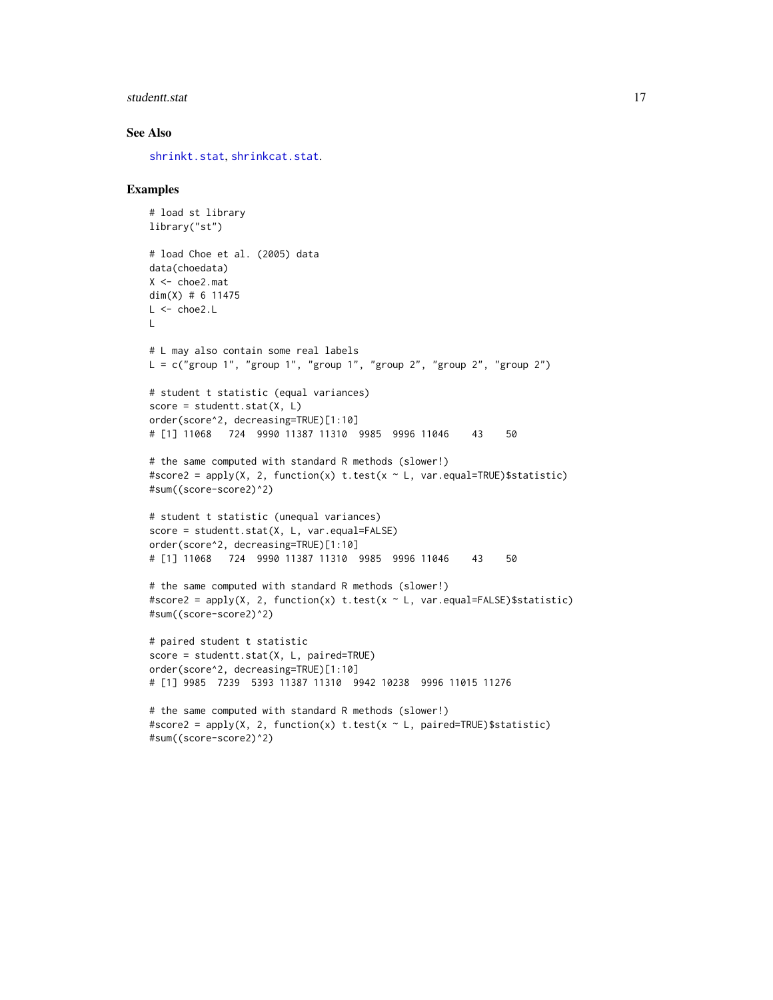#### <span id="page-16-0"></span>studentt.stat 17

# See Also

[shrinkt.stat](#page-13-1), [shrinkcat.stat](#page-10-1).

```
# load st library
library("st")
# load Choe et al. (2005) data
data(choedata)
X <- choe2.mat
dim(X) # 6 11475
L < - choe2.L\mathbf{L}# L may also contain some real labels
L = c("group 1", "group 1", "group 1", "group 2", "group 2", "group 2", "group 2")# student t statistic (equal variances)
score = student.start(X, L)order(score^2, decreasing=TRUE)[1:10]
# [1] 11068 724 9990 11387 11310 9985 9996 11046 43 50
# the same computed with standard R methods (slower!)
#score2 = apply(X, 2, function(x) t.test(x \sim L, var.equal=TRUE)$statistic)
#sum((score-score2)^2)
# student t statistic (unequal variances)
score = studentt.stat(X, L, var.equal=FALSE)
order(score^2, decreasing=TRUE)[1:10]
# [1] 11068 724 9990 11387 11310 9985 9996 11046 43 50
# the same computed with standard R methods (slower!)
#score2 = apply(X, 2, function(x) t.test(x ~ L, var.equal=FALSE)$statistic)
#sum((score-score2)^2)
# paired student t statistic
score = studentt.stat(X, L, paired=TRUE)
order(score^2, decreasing=TRUE)[1:10]
# [1] 9985 7239 5393 11387 11310 9942 10238 9996 11015 11276
```

```
# the same computed with standard R methods (slower!)
#score2 = apply(X, 2, function(x) t.test(x ~ L, paired=TRUE)$statistic)
#sum((score-score2)^2)
```